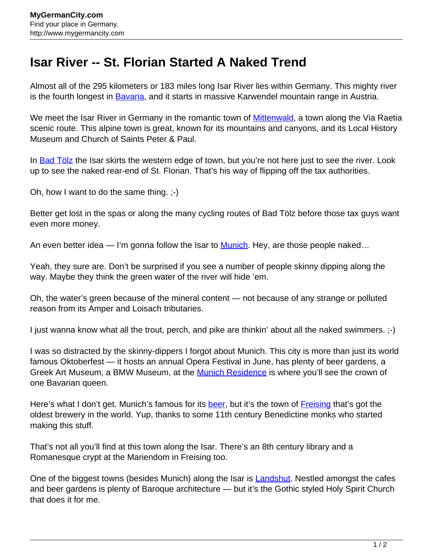## **Isar River -- St. Florian Started A Naked Trend**

Almost all of the 295 kilometers or 183 miles long Isar River lies within Germany. This mighty river is the fourth longest in [Bavaria,](http://www.mygermancity.com/bavaria) and it starts in massive Karwendel mountain range in Austria.

We meet the Isar River in Germany in the romantic town of **[Mittenwald](http://www.mygermancity.com/mittenwald)**, a town along the Via Raetia scenic route. This alpine town is great, known for its mountains and canyons, and its Local History Museum and Church of Saints Peter & Paul.

In [Bad Tölz](http://www.mygermancity.com/bad-toelz) the Isar skirts the western edge of town, but you're not here just to see the river. Look up to see the naked rear-end of St. Florian. That's his way of flipping off the tax authorities.

Oh, how I want to do the same thing. ;-)

Better get lost in the spas or along the many cycling routes of Bad Tölz before those tax guys want even more money.

An even better idea — I'm gonna follow the Isar to [Munich.](http://www.mygermancity.com/munich) Hey, are those people naked...

Yeah, they sure are. Don't be surprised if you see a number of people skinny dipping along the way. Maybe they think the green water of the river will hide 'em.

Oh, the water's green because of the mineral content — not because of any strange or polluted reason from its Amper and Loisach tributaries.

I just wanna know what all the trout, perch, and pike are thinkin' about all the naked swimmers. ;-)

I was so distracted by the skinny-dippers I forgot about Munich. This city is more than just its world famous Oktoberfest — it hosts an annual Opera Festival in June, has plenty of beer gardens, a Greek Art Museum, a BMW Museum, at the **[Munich Residence](http://www.mygermancity.com/munich-residence)** is where you'll see the crown of one Bavarian queen.

Here's what I don't get. Munich's famous for its [beer,](http://www.mygermancity.com/german-beer) but it's the town of [Freising](http://www.mygermancity.com/freising) that's got the oldest brewery in the world. Yup, thanks to some 11th century Benedictine monks who started making this stuff.

That's not all you'll find at this town along the Isar. There's an 8th century library and a Romanesque crypt at the Mariendom in Freising too.

One of the biggest towns (besides Munich) along the Isar is [Landshut.](http://www.mygermancity.com/landshut) Nestled amongst the cafes and beer gardens is plenty of Baroque architecture — but it's the Gothic styled Holy Spirit Church that does it for me.